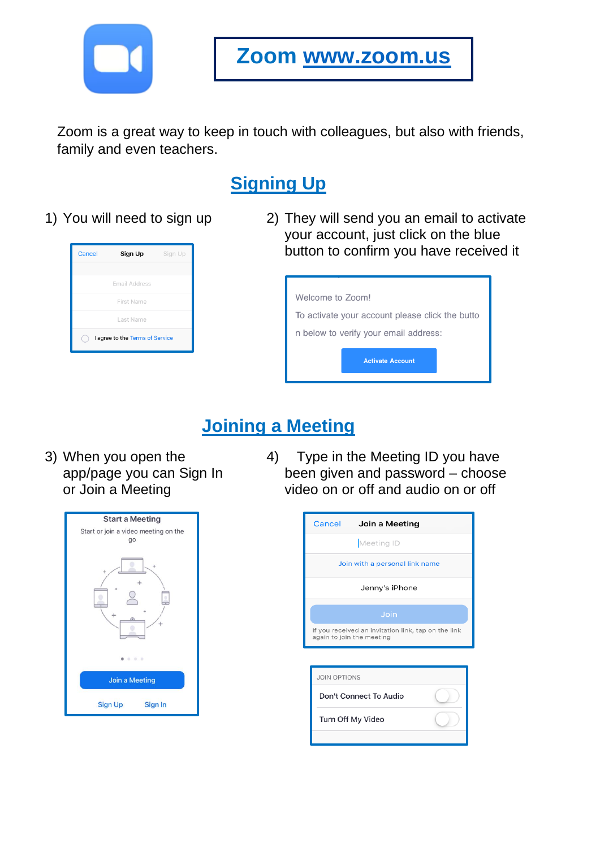

**Zoom [www.zoom.us](http://www.zoom.us/)**

Zoom is a great way to keep in touch with colleagues, but also with friends, family and even teachers.

# **Signing Up**



1) You will need to sign up 2) They will send you an email to activate your account, just click on the blue button to confirm you have received it

| Welcome to Zoom!                                |  |  |
|-------------------------------------------------|--|--|
| To activate your account please click the butto |  |  |
| n below to verify your email address:           |  |  |
| <b>Activate Account</b>                         |  |  |

## **Joining a Meeting**

3) When you open the app/page you can Sign In or Join a Meeting



4) Type in the Meeting ID you have been given and password – choose video on or off and audio on or off